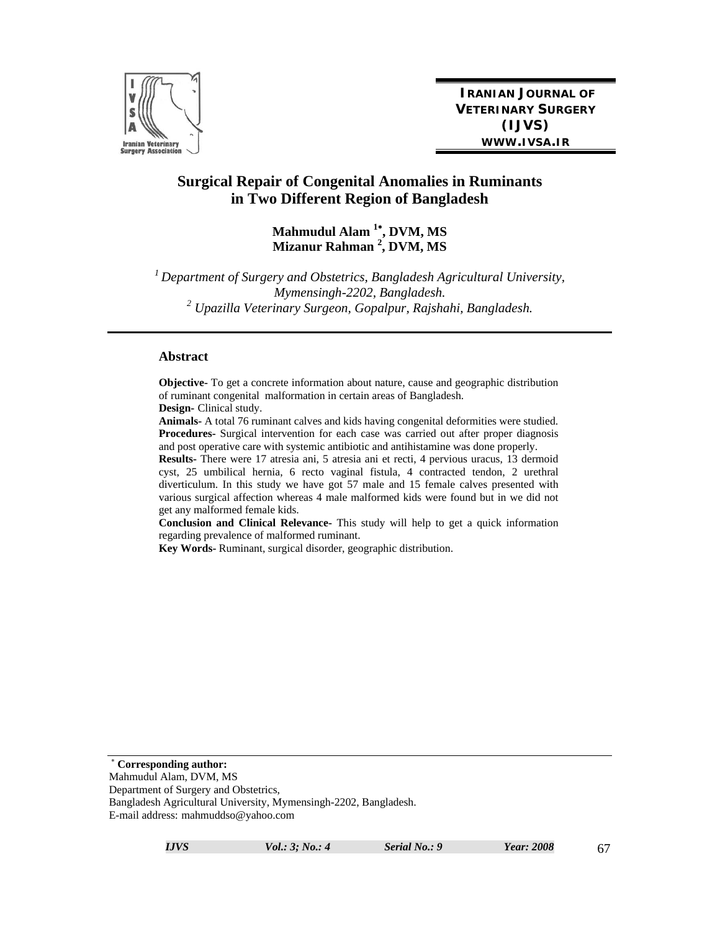

**IRANIAN JOURNAL OF VETERINARY SURGERY (IJVS) WWW.IVSA.IR**

# **Surgical Repair of Congenital Anomalies in Ruminants in Two Different Region of Bangladesh**

# **Mahmudul Alam <sup>1</sup> , DVM, MS Mizanur Rahman <sup>2</sup> , DVM, MS**

*1 Department of Surgery and Obstetrics, Bangladesh Agricultural University, Mymensingh-2202, Bangladesh. 2 Upazilla Veterinary Surgeon, Gopalpur, Rajshahi, Bangladesh.* 

#### **Abstract**

**Objective-** To get a concrete information about nature, cause and geographic distribution of ruminant congenital malformation in certain areas of Bangladesh. **Design-** Clinical study.

**Animals-** A total 76 ruminant calves and kids having congenital deformities were studied. **Procedures-** Surgical intervention for each case was carried out after proper diagnosis and post operative care with systemic antibiotic and antihistamine was done properly.

**Results-** There were 17 atresia ani, 5 atresia ani et recti, 4 pervious uracus, 13 dermoid cyst, 25 umbilical hernia, 6 recto vaginal fistula, 4 contracted tendon, 2 urethral diverticulum. In this study we have got 57 male and 15 female calves presented with various surgical affection whereas 4 male malformed kids were found but in we did not get any malformed female kids.

**Conclusion and Clinical Relevance-** This study will help to get a quick information regarding prevalence of malformed ruminant.

**Key Words-** Ruminant, surgical disorder, geographic distribution.

 **Corresponding author:**  Mahmudul Alam, DVM, MS Department of Surgery and Obstetrics, Bangladesh Agricultural University, Mymensingh-2202, Bangladesh. E-mail address: mahmuddso@yahoo.com

*IJVS Vol.: 3; No.: 4 Serial No.: 9 Year: 2008* 67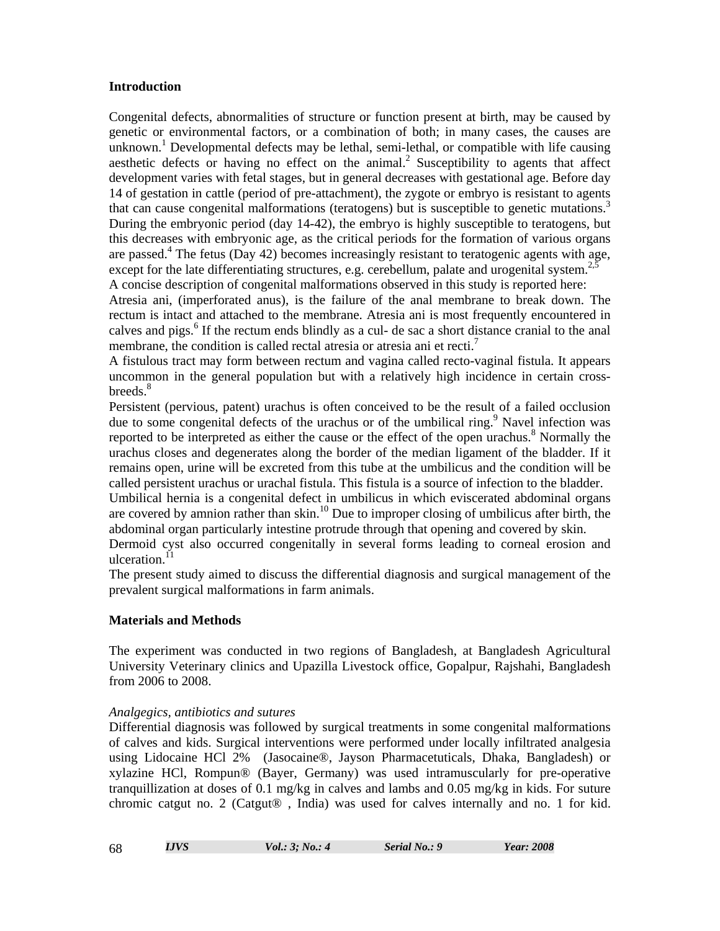# **Introduction**

Congenital defects, abnormalities of structure or function present at birth, may be caused by genetic or environmental factors, or a combination of both; in many cases, the causes are unknown.<sup>1</sup> Developmental defects may be lethal, semi-lethal, or compatible with life causing aesthetic defects or having no effect on the animal.<sup>2</sup> Susceptibility to agents that affect development varies with fetal stages, but in general decreases with gestational age. Before day 14 of gestation in cattle (period of pre-attachment), the zygote or embryo is resistant to agents that can cause congenital malformations (teratogens) but is susceptible to genetic mutations.<sup>3</sup> During the embryonic period (day 14-42), the embryo is highly susceptible to teratogens, but this decreases with embryonic age, as the critical periods for the formation of various organs are passed.<sup>4</sup> The fetus (Day 42) becomes increasingly resistant to teratogenic agents with age, except for the late differentiating structures, e.g. cerebellum, palate and urogenital system.<sup>2,5</sup> A concise description of congenital malformations observed in this study is reported here:

Atresia ani, (imperforated anus), is the failure of the anal membrane to break down. The rectum is intact and attached to the membrane. Atresia ani is most frequently encountered in calves and pigs.<sup>6</sup> If the rectum ends blindly as a cul- de sac a short distance cranial to the anal membrane, the condition is called rectal atresia or atresia ani et recti.<sup>7</sup>

A fistulous tract may form between rectum and vagina called recto-vaginal fistula. It appears uncommon in the general population but with a relatively high incidence in certain crossbreeds.<sup>8</sup>

Persistent (pervious, patent) urachus is often conceived to be the result of a failed occlusion due to some congenital defects of the urachus or of the umbilical ring.<sup>9</sup> Navel infection was reported to be interpreted as either the cause or the effect of the open urachus. $8$  Normally the urachus closes and degenerates along the border of the median ligament of the bladder. If it remains open, urine will be excreted from this tube at the umbilicus and the condition will be called persistent urachus or urachal fistula. This fistula is a source of infection to the bladder. Umbilical hernia is a congenital defect in umbilicus in which eviscerated abdominal organs

are covered by amnion rather than skin.<sup>10</sup> Due to improper closing of umbilicus after birth, the abdominal organ particularly intestine protrude through that opening and covered by skin. Dermoid cyst also occurred congenitally in several forms leading to corneal erosion and

ulceration. $^{11}$ 

The present study aimed to discuss the differential diagnosis and surgical management of the prevalent surgical malformations in farm animals.

# **Materials and Methods**

The experiment was conducted in two regions of Bangladesh, at Bangladesh Agricultural University Veterinary clinics and Upazilla Livestock office, Gopalpur, Rajshahi, Bangladesh from 2006 to 2008.

# *Analgegics, antibiotics and sutures*

Differential diagnosis was followed by surgical treatments in some congenital malformations of calves and kids. Surgical interventions were performed under locally infiltrated analgesia using Lidocaine HCl 2% (Jasocaine®, Jayson Pharmacetuticals, Dhaka, Bangladesh) or xylazine HCl, Rompun® (Bayer, Germany) was used intramuscularly for pre-operative tranquillization at doses of 0.1 mg/kg in calves and lambs and 0.05 mg/kg in kids. For suture chromic catgut no. 2 (Catgut® , India) was used for calves internally and no. 1 for kid.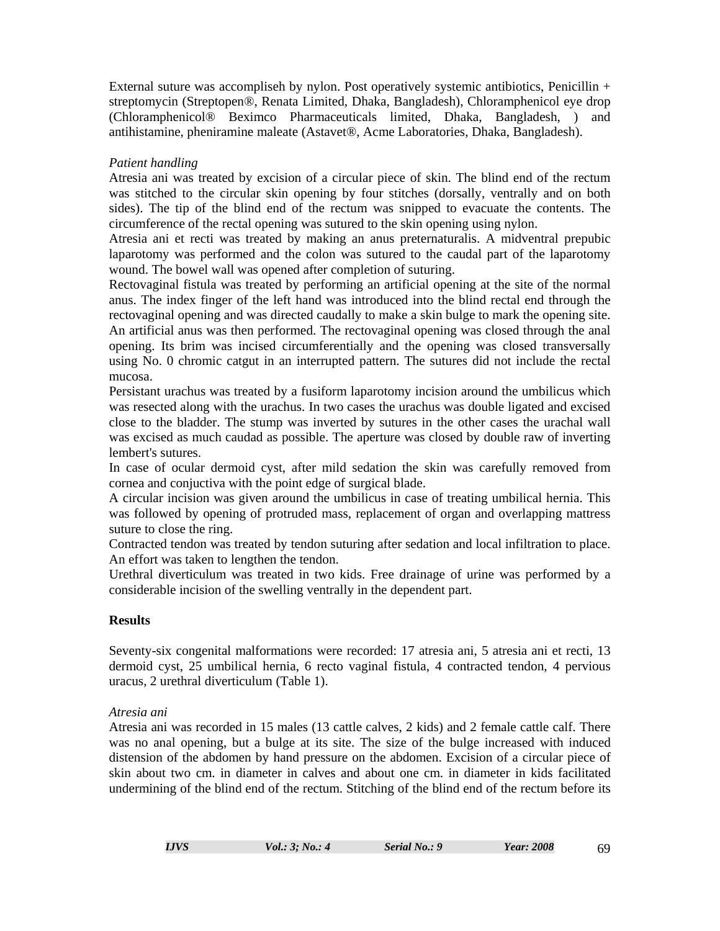External suture was accompliseh by nylon. Post operatively systemic antibiotics, Penicillin + streptomycin (Streptopen®, Renata Limited, Dhaka, Bangladesh), Chloramphenicol eye drop (Chloramphenicol® Beximco Pharmaceuticals limited, Dhaka, Bangladesh, ) and antihistamine, pheniramine maleate (Astavet®, Acme Laboratories, Dhaka, Bangladesh).

# *Patient handling*

Atresia ani was treated by excision of a circular piece of skin. The blind end of the rectum was stitched to the circular skin opening by four stitches (dorsally, ventrally and on both sides). The tip of the blind end of the rectum was snipped to evacuate the contents. The circumference of the rectal opening was sutured to the skin opening using nylon.

Atresia ani et recti was treated by making an anus preternaturalis. A midventral prepubic laparotomy was performed and the colon was sutured to the caudal part of the laparotomy wound. The bowel wall was opened after completion of suturing.

Rectovaginal fistula was treated by performing an artificial opening at the site of the normal anus. The index finger of the left hand was introduced into the blind rectal end through the rectovaginal opening and was directed caudally to make a skin bulge to mark the opening site. An artificial anus was then performed. The rectovaginal opening was closed through the anal opening. Its brim was incised circumferentially and the opening was closed transversally using No. 0 chromic catgut in an interrupted pattern. The sutures did not include the rectal mucosa.

Persistant urachus was treated by a fusiform laparotomy incision around the umbilicus which was resected along with the urachus. In two cases the urachus was double ligated and excised close to the bladder. The stump was inverted by sutures in the other cases the urachal wall was excised as much caudad as possible. The aperture was closed by double raw of inverting lembert's sutures.

In case of ocular dermoid cyst, after mild sedation the skin was carefully removed from cornea and conjuctiva with the point edge of surgical blade.

A circular incision was given around the umbilicus in case of treating umbilical hernia. This was followed by opening of protruded mass, replacement of organ and overlapping mattress suture to close the ring.

Contracted tendon was treated by tendon suturing after sedation and local infiltration to place. An effort was taken to lengthen the tendon.

Urethral diverticulum was treated in two kids. Free drainage of urine was performed by a considerable incision of the swelling ventrally in the dependent part.

# **Results**

Seventy-six congenital malformations were recorded: 17 atresia ani, 5 atresia ani et recti, 13 dermoid cyst, 25 umbilical hernia, 6 recto vaginal fistula, 4 contracted tendon, 4 pervious uracus, 2 urethral diverticulum (Table 1).

#### *Atresia ani*

Atresia ani was recorded in 15 males (13 cattle calves, 2 kids) and 2 female cattle calf. There was no anal opening, but a bulge at its site. The size of the bulge increased with induced distension of the abdomen by hand pressure on the abdomen. Excision of a circular piece of skin about two cm. in diameter in calves and about one cm. in diameter in kids facilitated undermining of the blind end of the rectum. Stitching of the blind end of the rectum before its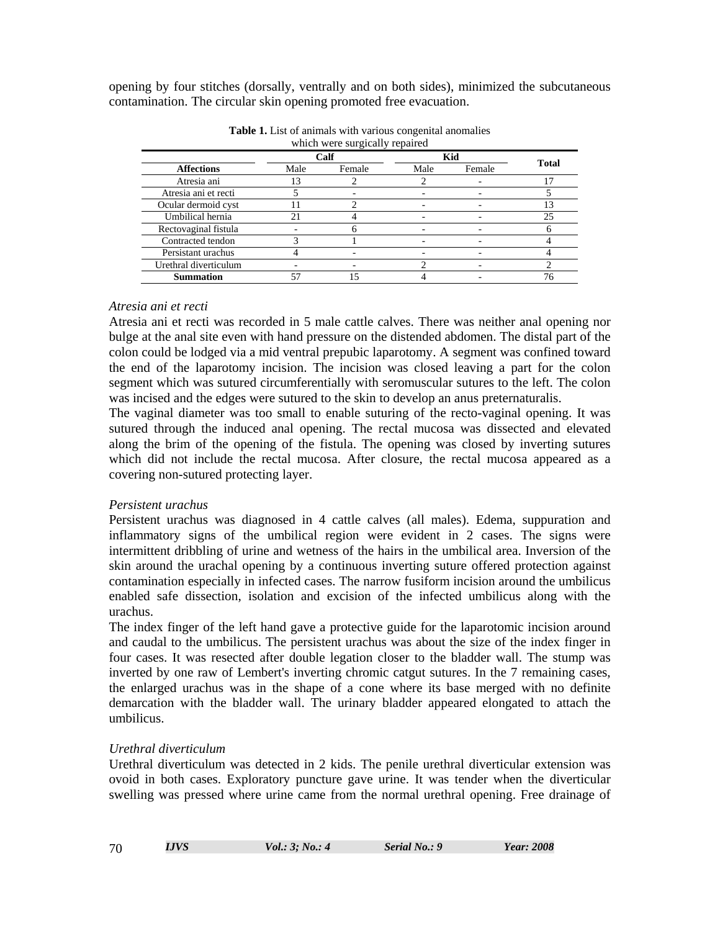opening by four stitches (dorsally, ventrally and on both sides), minimized the subcutaneous contamination. The circular skin opening promoted free evacuation.

| which were surgically repaired |      |        |      |        |                |  |
|--------------------------------|------|--------|------|--------|----------------|--|
| <b>Affections</b>              | Calf |        | Kid  |        |                |  |
|                                | Male | Female | Male | Female | <b>Total</b>   |  |
| Atresia ani                    |      |        |      |        | $\overline{7}$ |  |
| Atresia ani et recti           |      |        |      |        |                |  |
| Ocular dermoid cyst            |      |        |      |        |                |  |
| Umbilical hernia               | 2.1  |        |      |        | 25             |  |
| Rectovaginal fistula           |      |        |      |        |                |  |
| Contracted tendon              |      |        |      |        |                |  |
| Persistant urachus             |      |        |      |        |                |  |
| Urethral diverticulum          |      |        |      |        |                |  |
| <b>Summation</b>               |      |        |      |        |                |  |

**Table 1.** List of animals with various congenital anomalies

#### *Atresia ani et recti*

Atresia ani et recti was recorded in 5 male cattle calves. There was neither anal opening nor bulge at the anal site even with hand pressure on the distended abdomen. The distal part of the colon could be lodged via a mid ventral prepubic laparotomy. A segment was confined toward the end of the laparotomy incision. The incision was closed leaving a part for the colon segment which was sutured circumferentially with seromuscular sutures to the left. The colon was incised and the edges were sutured to the skin to develop an anus preternaturalis.

The vaginal diameter was too small to enable suturing of the recto-vaginal opening. It was sutured through the induced anal opening. The rectal mucosa was dissected and elevated along the brim of the opening of the fistula. The opening was closed by inverting sutures which did not include the rectal mucosa. After closure, the rectal mucosa appeared as a covering non-sutured protecting layer.

#### *Persistent urachus*

Persistent urachus was diagnosed in 4 cattle calves (all males). Edema, suppuration and inflammatory signs of the umbilical region were evident in 2 cases. The signs were intermittent dribbling of urine and wetness of the hairs in the umbilical area. Inversion of the skin around the urachal opening by a continuous inverting suture offered protection against contamination especially in infected cases. The narrow fusiform incision around the umbilicus enabled safe dissection, isolation and excision of the infected umbilicus along with the urachus.

The index finger of the left hand gave a protective guide for the laparotomic incision around and caudal to the umbilicus. The persistent urachus was about the size of the index finger in four cases. It was resected after double legation closer to the bladder wall. The stump was inverted by one raw of Lembert's inverting chromic catgut sutures. In the 7 remaining cases, the enlarged urachus was in the shape of a cone where its base merged with no definite demarcation with the bladder wall. The urinary bladder appeared elongated to attach the umbilicus.

# *Urethral diverticulum*

Urethral diverticulum was detected in 2 kids. The penile urethral diverticular extension was ovoid in both cases. Exploratory puncture gave urine. It was tender when the diverticular swelling was pressed where urine came from the normal urethral opening. Free drainage of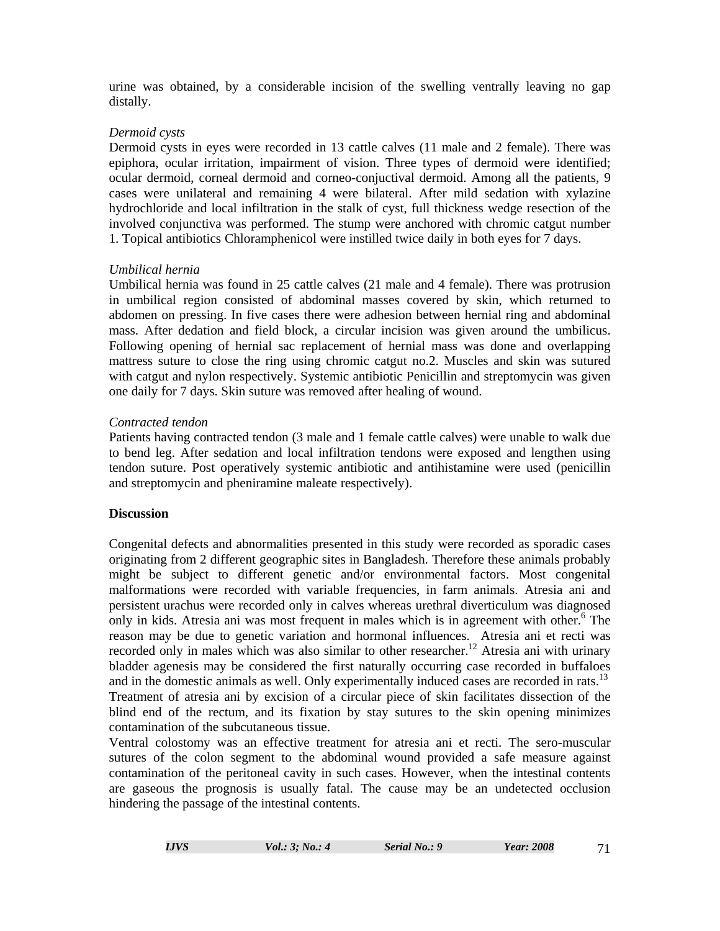urine was obtained, by a considerable incision of the swelling ventrally leaving no gap distally.

# *Dermoid cysts*

Dermoid cysts in eyes were recorded in 13 cattle calves (11 male and 2 female). There was epiphora, ocular irritation, impairment of vision. Three types of dermoid were identified; ocular dermoid, corneal dermoid and corneo-conjuctival dermoid. Among all the patients, 9 cases were unilateral and remaining 4 were bilateral. After mild sedation with xylazine hydrochloride and local infiltration in the stalk of cyst, full thickness wedge resection of the involved conjunctiva was performed. The stump were anchored with chromic catgut number 1. Topical antibiotics Chloramphenicol were instilled twice daily in both eyes for 7 days.

# *Umbilical hernia*

Umbilical hernia was found in 25 cattle calves (21 male and 4 female). There was protrusion in umbilical region consisted of abdominal masses covered by skin, which returned to abdomen on pressing. In five cases there were adhesion between hernial ring and abdominal mass. After dedation and field block, a circular incision was given around the umbilicus. Following opening of hernial sac replacement of hernial mass was done and overlapping mattress suture to close the ring using chromic catgut no.2. Muscles and skin was sutured with catgut and nylon respectively. Systemic antibiotic Penicillin and streptomycin was given one daily for 7 days. Skin suture was removed after healing of wound.

#### *Contracted tendon*

Patients having contracted tendon (3 male and 1 female cattle calves) were unable to walk due to bend leg. After sedation and local infiltration tendons were exposed and lengthen using tendon suture. Post operatively systemic antibiotic and antihistamine were used (penicillin and streptomycin and pheniramine maleate respectively).

#### **Discussion**

Congenital defects and abnormalities presented in this study were recorded as sporadic cases originating from 2 different geographic sites in Bangladesh. Therefore these animals probably might be subject to different genetic and/or environmental factors. Most congenital malformations were recorded with variable frequencies, in farm animals. Atresia ani and persistent urachus were recorded only in calves whereas urethral diverticulum was diagnosed only in kids. Atresia ani was most frequent in males which is in agreement with other.<sup>6</sup> The reason may be due to genetic variation and hormonal influences. Atresia ani et recti was recorded only in males which was also similar to other researcher.<sup>12</sup> Atresia ani with urinary bladder agenesis may be considered the first naturally occurring case recorded in buffaloes and in the domestic animals as well. Only experimentally induced cases are recorded in rats.<sup>13</sup> Treatment of atresia ani by excision of a circular piece of skin facilitates dissection of the blind end of the rectum, and its fixation by stay sutures to the skin opening minimizes contamination of the subcutaneous tissue.

Ventral colostomy was an effective treatment for atresia ani et recti. The sero-muscular sutures of the colon segment to the abdominal wound provided a safe measure against contamination of the peritoneal cavity in such cases. However, when the intestinal contents are gaseous the prognosis is usually fatal. The cause may be an undetected occlusion hindering the passage of the intestinal contents.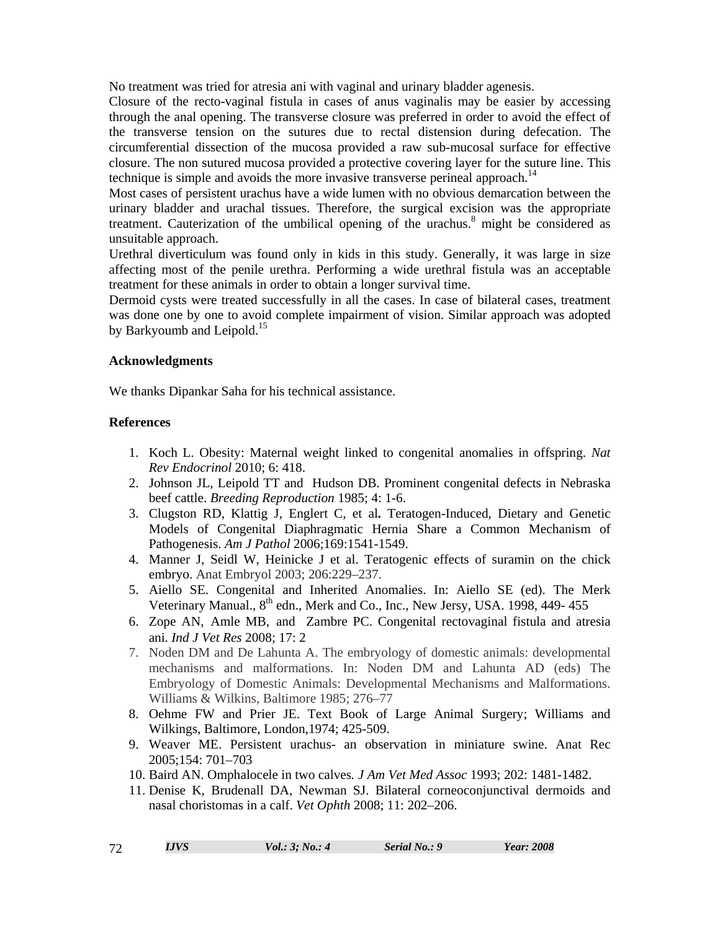No treatment was tried for atresia ani with vaginal and urinary bladder agenesis.

Closure of the recto-vaginal fistula in cases of anus vaginalis may be easier by accessing through the anal opening. The transverse closure was preferred in order to avoid the effect of the transverse tension on the sutures due to rectal distension during defecation. The circumferential dissection of the mucosa provided a raw sub-mucosal surface for effective closure. The non sutured mucosa provided a protective covering layer for the suture line. This technique is simple and avoids the more invasive transverse perineal approach.<sup>14</sup>

Most cases of persistent urachus have a wide lumen with no obvious demarcation between the urinary bladder and urachal tissues. Therefore, the surgical excision was the appropriate treatment. Cauterization of the umbilical opening of the urachus.<sup>8</sup> might be considered as unsuitable approach.

Urethral diverticulum was found only in kids in this study. Generally, it was large in size affecting most of the penile urethra. Performing a wide urethral fistula was an acceptable treatment for these animals in order to obtain a longer survival time.

Dermoid cysts were treated successfully in all the cases. In case of bilateral cases, treatment was done one by one to avoid complete impairment of vision. Similar approach was adopted by Barkyoumb and Leipold.<sup>15</sup>

# **Acknowledgments**

We thanks Dipankar Saha for his technical assistance.

# **References**

- 1. Koch L. Obesity: Maternal weight linked to congenital anomalies in offspring. *Nat Rev Endocrinol* 2010; 6: 418.
- 2. Johnson JL, Leipold TT and Hudson DB. Prominent congenital defects in Nebraska beef cattle. *Breeding Reproduction* 1985; 4: 1-6.
- 3. Clugston RD, Klattig J, Englert C, et al**.** Teratogen-Induced, Dietary and Genetic Models of Congenital Diaphragmatic Hernia Share a Common Mechanism of Pathogenesis. *Am J Pathol* 2006;169:1541-1549.
- 4. Manner J, Seidl W, Heinicke J et al. Teratogenic effects of suramin on the chick embryo. Anat Embryol 2003; 206:229–237.
- 5. Aiello SE. Congenital and Inherited Anomalies. In: Aiello SE (ed). The Merk Veterinary Manual., 8<sup>th</sup> edn., Merk and Co., Inc., New Jersy, USA. 1998, 449- 455
- 6. Zope AN, Amle MB, and Zambre PC. Congenital rectovaginal fistula and atresia ani. *Ind J Vet Res* 2008; 17: 2
- 7. Noden DM and De Lahunta A. The embryology of domestic animals: developmental mechanisms and malformations. In: Noden DM and Lahunta AD (eds) The Embryology of Domestic Animals: Developmental Mechanisms and Malformations. Williams & Wilkins, Baltimore 1985; 276–77
- 8. Oehme FW and Prier JE. Text Book of Large Animal Surgery; Williams and Wilkings, Baltimore, London,1974; 425-509.
- 9. Weaver ME. Persistent urachus- an observation in miniature swine. Anat Rec 2005;154: 701–703
- 10. Baird AN. Omphalocele in two calves*. J Am Vet Med Assoc* 1993; 202: 1481-1482.
- 11. Denise K, Brudenall DA, Newman SJ. Bilateral corneoconjunctival dermoids and nasal choristomas in a calf. *Vet Ophth* 2008; 11: 202–206.

| ⌒ |  |
|---|--|
|   |  |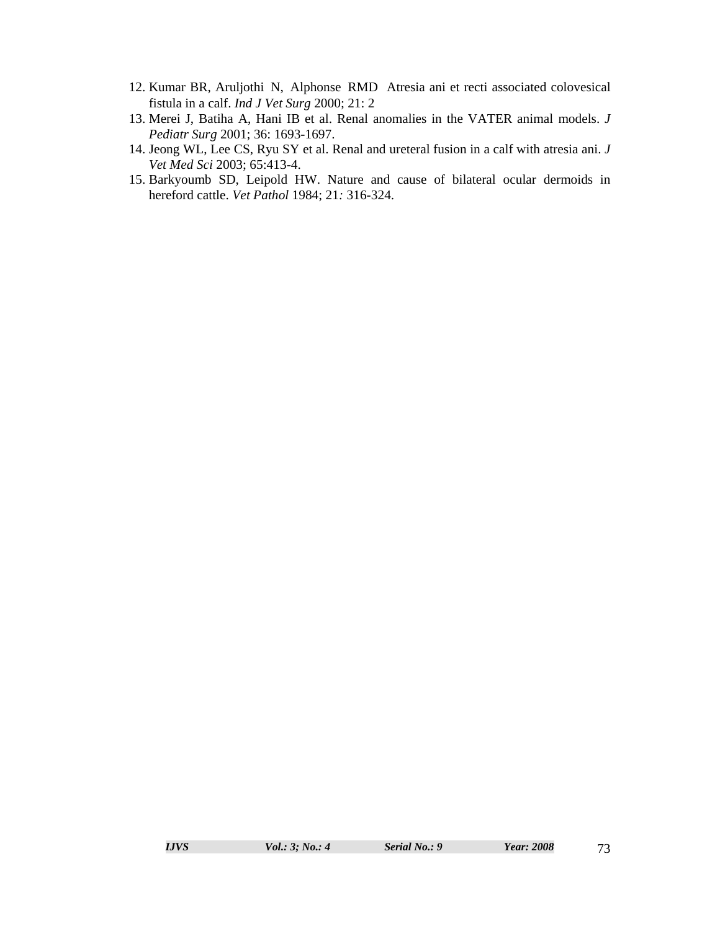- 12. Kumar BR, Aruljothi N, Alphonse RMD Atresia ani et recti associated colovesical fistula in a calf. *Ind J Vet Surg* 2000; 21: 2
- 13. Merei J, Batiha A, Hani IB et al. Renal anomalies in the VATER animal models. *J Pediatr Surg* 2001; 36: 1693-1697.
- 14. Jeong WL, Lee CS, Ryu SY et al. Renal and ureteral fusion in a calf with atresia ani. *J Vet Med Sci* 2003; 65:413-4.
- 15. Barkyoumb SD, Leipold HW. Nature and cause of bilateral ocular dermoids in hereford cattle. *Vet Pathol* 1984; 21*:* 316-324.